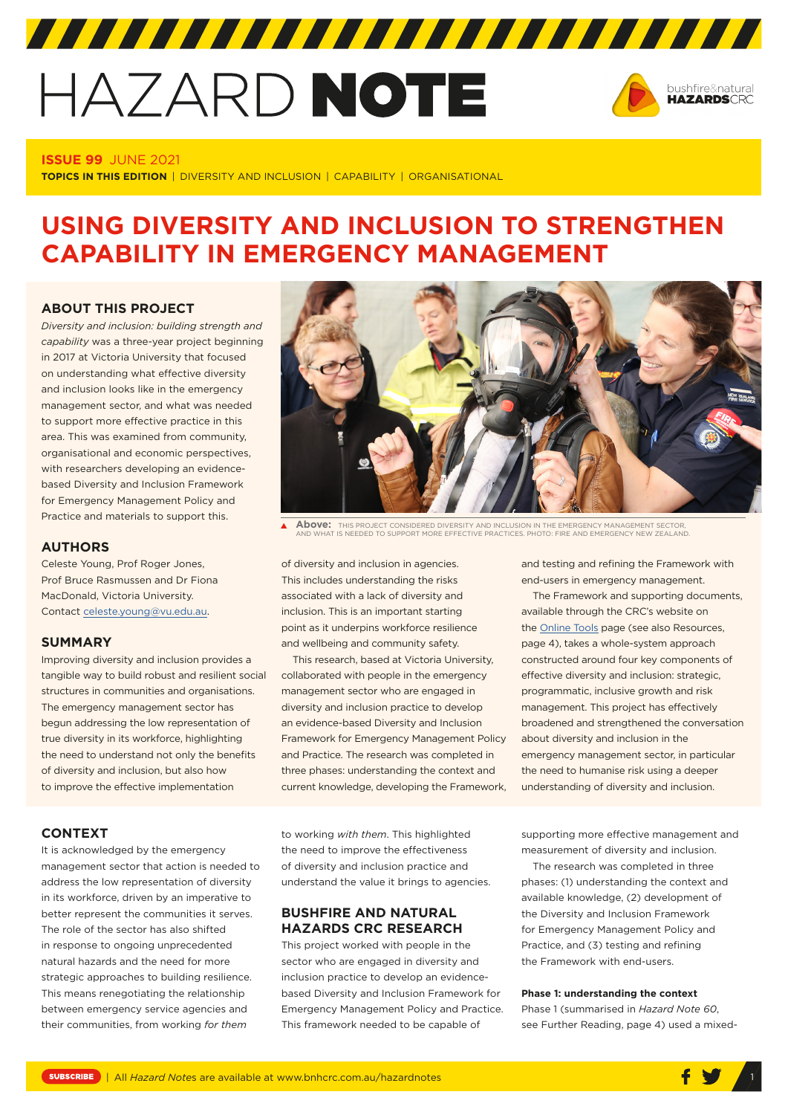# HAZARD NOTE



# **ISSUE 99** JUNE 2021

**TOPICS IN THIS EDITION** | DIVERSITY AND INCLUSION | CAPABILITY | ORGANISATIONAL

# **USING DIVERSITY AND INCLUSION TO STRENGTHEN CAPABILITY IN EMERGENCY MANAGEMENT**

## **ABOUT THIS PROJECT**

*Diversity and inclusion: building strength and capability* was a three-year project beginning in 2017 at Victoria University that focused on understanding what effective diversity and inclusion looks like in the emergency management sector, and what was needed to support more effective practice in this area. This was examined from community, organisational and economic perspectives, with researchers developing an evidencebased Diversity and Inclusion Framework for Emergency Management Policy and Practice and materials to support this.

# **AUTHORS**

Celeste Young, Prof Roger Jones, Prof Bruce Rasmussen and Dr Fiona MacDonald, Victoria University. Contact [celeste.young@vu.edu.au.](mailto:celeste.young@vu.edu.au)

# **SUMMARY**

Improving diversity and inclusion provides a tangible way to build robust and resilient social structures in communities and organisations. The emergency management sector has begun addressing the low representation of true diversity in its workforce, highlighting the need to understand not only the benefits of diversity and inclusion, but also how to improve the effective implementation



**Above:** THIS PROJECT CONSIDERED DIVERSITY AND INCLUSION IN THE EMERGENCY MANAGEMENT SECTOR, AND WHAT IS NEEDED TO SUPPORT MORE EFFECTIVE PRACTICES. PHOTO: FIRE AND EMERGENCY NEW ZEALAND.

of diversity and inclusion in agencies. This includes understanding the risks associated with a lack of diversity and inclusion. This is an important starting point as it underpins workforce resilience and wellbeing and community safety.

This research, based at Victoria University, collaborated with people in the emergency management sector who are engaged in diversity and inclusion practice to develop an evidence-based Diversity and Inclusion Framework for Emergency Management Policy and Practice. The research was completed in three phases: understanding the context and current knowledge, developing the Framework, and testing and refining the Framework with end-users in emergency management.

The Framework and supporting documents, available through the CRC's website on the [Online Tools](https://www.bnhcrc.com.au/driving-change/tools) page (see also Resources, page 4), takes a whole-system approach constructed around four key components of effective diversity and inclusion: strategic, programmatic, inclusive growth and risk management. This project has effectively broadened and strengthened the conversation about diversity and inclusion in the emergency management sector, in particular the need to humanise risk using a deeper understanding of diversity and inclusion.

#### **CONTEXT**

It is acknowledged by the emergency management sector that action is needed to address the low representation of diversity in its workforce, driven by an imperative to better represent the communities it serves. The role of the sector has also shifted in response to ongoing unprecedented natural hazards and the need for more strategic approaches to building resilience. This means renegotiating the relationship between emergency service agencies and their communities, from working *for them*

to working *with them*. This highlighted the need to improve the effectiveness of diversity and inclusion practice and understand the value it brings to agencies.

# **BUSHFIRE AND NATURAL HAZARDS CRC RESEARCH**

This project worked with people in the sector who are engaged in diversity and inclusion practice to develop an evidencebased Diversity and Inclusion Framework for Emergency Management Policy and Practice. This framework needed to be capable of

supporting more effective management and measurement of diversity and inclusion.

The research was completed in three phases: (1) understanding the context and available knowledge, (2) development of the Diversity and Inclusion Framework for Emergency Management Policy and Practice, and (3) testing and refining the Framework with end-users.

# **Phase 1: understanding the context**

Phase 1 (summarised in *Hazard Note 60*, see Further Reading, page 4) used a mixed-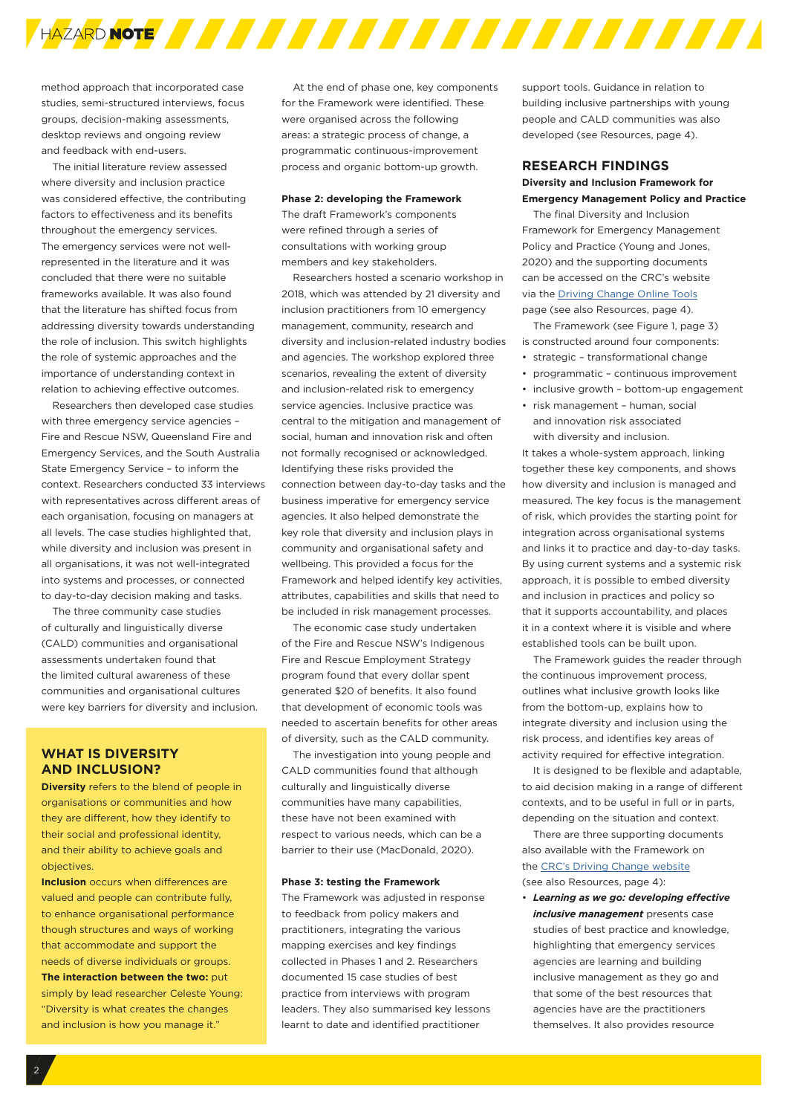

method approach that incorporated case studies, semi-structured interviews, focus groups, decision-making assessments, desktop reviews and ongoing review and feedback with end-users.

The initial literature review assessed where diversity and inclusion practice was considered effective, the contributing factors to effectiveness and its benefits throughout the emergency services. The emergency services were not wellrepresented in the literature and it was concluded that there were no suitable frameworks available. It was also found that the literature has shifted focus from addressing diversity towards understanding the role of inclusion. This switch highlights the role of systemic approaches and the importance of understanding context in relation to achieving effective outcomes.

Researchers then developed case studies with three emergency service agencies – Fire and Rescue NSW, Queensland Fire and Emergency Services, and the South Australia State Emergency Service – to inform the context. Researchers conducted 33 interviews with representatives across different areas of each organisation, focusing on managers at all levels. The case studies highlighted that, while diversity and inclusion was present in all organisations, it was not well-integrated into systems and processes, or connected to day-to-day decision making and tasks.

The three community case studies of culturally and linguistically diverse (CALD) communities and organisational assessments undertaken found that the limited cultural awareness of these communities and organisational cultures were key barriers for diversity and inclusion.

# **WHAT IS DIVERSITY AND INCLUSION?**

**Diversity** refers to the blend of people in organisations or communities and how they are different, how they identify to their social and professional identity, and their ability to achieve goals and objectives.

**Inclusion** occurs when differences are valued and people can contribute fully, to enhance organisational performance though structures and ways of working that accommodate and support the needs of diverse individuals or groups. **The interaction between the two:** put simply by lead researcher Celeste Young: "Diversity is what creates the changes and inclusion is how you manage it."

At the end of phase one, key components for the Framework were identified. These were organised across the following areas: a strategic process of change, a programmatic continuous-improvement process and organic bottom-up growth.

#### **Phase 2: developing the Framework**

The draft Framework's components were refined through a series of consultations with working group members and key stakeholders.

Researchers hosted a scenario workshop in 2018, which was attended by 21 diversity and inclusion practitioners from 10 emergency management, community, research and diversity and inclusion-related industry bodies and agencies. The workshop explored three scenarios, revealing the extent of diversity and inclusion-related risk to emergency service agencies. Inclusive practice was central to the mitigation and management of social, human and innovation risk and often not formally recognised or acknowledged. Identifying these risks provided the connection between day-to-day tasks and the business imperative for emergency service agencies. It also helped demonstrate the key role that diversity and inclusion plays in community and organisational safety and wellbeing. This provided a focus for the Framework and helped identify key activities, attributes, capabilities and skills that need to be included in risk management processes.

The economic case study undertaken of the Fire and Rescue NSW's Indigenous Fire and Rescue Employment Strategy program found that every dollar spent generated \$20 of benefits. It also found that development of economic tools was needed to ascertain benefits for other areas of diversity, such as the CALD community.

The investigation into young people and CALD communities found that although culturally and linguistically diverse communities have many capabilities, these have not been examined with respect to various needs, which can be a barrier to their use (MacDonald, 2020).

#### **Phase 3: testing the Framework**

The Framework was adjusted in response to feedback from policy makers and practitioners, integrating the various mapping exercises and key findings collected in Phases 1 and 2. Researchers documented 15 case studies of best practice from interviews with program leaders. They also summarised key lessons learnt to date and identified practitioner

support tools. Guidance in relation to building inclusive partnerships with young people and CALD communities was also developed (see Resources, page 4).

# **RESEARCH FINDINGS Diversity and Inclusion Framework for Emergency Management Policy and Practice**

The final Diversity and Inclusion Framework for Emergency Management Policy and Practice (Young and Jones, 2020) and the supporting documents can be accessed on the CRC's website via the [Driving Change Online Tools](https://www.bnhcrc.com.au/driving-change/tools) page (see also Resources, page 4).

The Framework (see Figure 1, page 3) is constructed around four components:

- strategic transformational change
- programmatic continuous improvement
- inclusive growth bottom-up engagement
- risk management human, social and innovation risk associated with diversity and inclusion.

It takes a whole-system approach, linking together these key components, and shows how diversity and inclusion is managed and measured. The key focus is the management of risk, which provides the starting point for integration across organisational systems and links it to practice and day-to-day tasks. By using current systems and a systemic risk approach, it is possible to embed diversity and inclusion in practices and policy so that it supports accountability, and places it in a context where it is visible and where established tools can be built upon.

The Framework guides the reader through the continuous improvement process, outlines what inclusive growth looks like from the bottom-up, explains how to integrate diversity and inclusion using the risk process, and identifies key areas of activity required for effective integration.

It is designed to be flexible and adaptable, to aid decision making in a range of different contexts, and to be useful in full or in parts, depending on the situation and context.

There are three supporting documents also available with the Framework on the [CRC's Driving Change website](https://www.bnhcrc.com.au/driving-change/tools) (see also Resources, page 4):

• *Learning as we go: developing effective inclusive management* presents case studies of best practice and knowledge, highlighting that emergency services agencies are learning and building inclusive management as they go and that some of the best resources that agencies have are the practitioners themselves. It also provides resource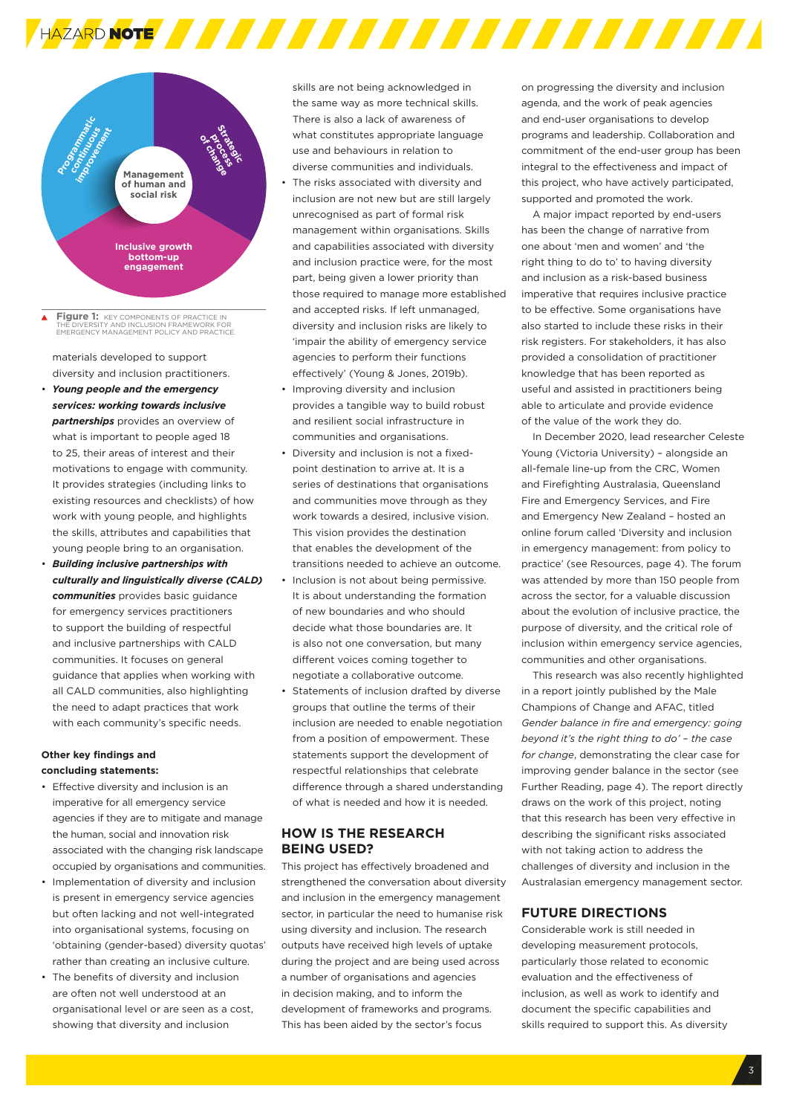

**Figure 1:** KEY COMPONENTS OF PRACTICE IN THE DIVERSITY AND INCLUSION FRAMEWORK FOR THE DIVERSITY AND INCLUSION FRAMEWORK FOR EMERGENCY MANAGEMENT POLICY AND PRACTICE.

materials developed to support diversity and inclusion practitioners.

- *Young people and the emergency services: working towards inclusive partnerships* provides an overview of what is important to people aged 18 to 25, their areas of interest and their motivations to engage with community. It provides strategies (including links to existing resources and checklists) of how work with young people, and highlights the skills, attributes and capabilities that young people bring to an organisation.
- *Building inclusive partnerships with culturally and linguistically diverse (CALD) communities* provides basic guidance for emergency services practitioners to support the building of respectful and inclusive partnerships with CALD communities. It focuses on general guidance that applies when working with all CALD communities, also highlighting the need to adapt practices that work with each community's specific needs.

## **Other key findings and concluding statements:**

- Effective diversity and inclusion is an imperative for all emergency service agencies if they are to mitigate and manage the human, social and innovation risk associated with the changing risk landscape occupied by organisations and communities.
- Implementation of diversity and inclusion is present in emergency service agencies but often lacking and not well-integrated into organisational systems, focusing on 'obtaining (gender-based) diversity quotas' rather than creating an inclusive culture.
- The benefits of diversity and inclusion are often not well understood at an organisational level or are seen as a cost, showing that diversity and inclusion

skills are not being acknowledged in the same way as more technical skills. There is also a lack of awareness of what constitutes appropriate language use and behaviours in relation to diverse communities and individuals.

- The risks associated with diversity and inclusion are not new but are still largely unrecognised as part of formal risk management within organisations. Skills and capabilities associated with diversity and inclusion practice were, for the most part, being given a lower priority than those required to manage more established and accepted risks. If left unmanaged, diversity and inclusion risks are likely to 'impair the ability of emergency service agencies to perform their functions effectively' (Young & Jones, 2019b).
- Improving diversity and inclusion provides a tangible way to build robust and resilient social infrastructure in communities and organisations.
- Diversity and inclusion is not a fixedpoint destination to arrive at. It is a series of destinations that organisations and communities move through as they work towards a desired, inclusive vision. This vision provides the destination that enables the development of the transitions needed to achieve an outcome.
- Inclusion is not about being permissive. It is about understanding the formation of new boundaries and who should decide what those boundaries are. It is also not one conversation, but many different voices coming together to negotiate a collaborative outcome.
- Statements of inclusion drafted by diverse groups that outline the terms of their inclusion are needed to enable negotiation from a position of empowerment. These statements support the development of respectful relationships that celebrate difference through a shared understanding of what is needed and how it is needed.

# **HOW IS THE RESEARCH BEING USED?**

This project has effectively broadened and strengthened the conversation about diversity and inclusion in the emergency management sector, in particular the need to humanise risk using diversity and inclusion. The research outputs have received high levels of uptake during the project and are being used across a number of organisations and agencies in decision making, and to inform the development of frameworks and programs. This has been aided by the sector's focus

on progressing the diversity and inclusion agenda, and the work of peak agencies and end-user organisations to develop programs and leadership. Collaboration and commitment of the end-user group has been integral to the effectiveness and impact of this project, who have actively participated, supported and promoted the work.

A major impact reported by end-users has been the change of narrative from one about 'men and women' and 'the right thing to do to' to having diversity and inclusion as a risk-based business imperative that requires inclusive practice to be effective. Some organisations have also started to include these risks in their risk registers. For stakeholders, it has also provided a consolidation of practitioner knowledge that has been reported as useful and assisted in practitioners being able to articulate and provide evidence of the value of the work they do.

In December 2020, lead researcher Celeste Young (Victoria University) – alongside an all-female line-up from the CRC, Women and Firefighting Australasia, Queensland Fire and Emergency Services, and Fire and Emergency New Zealand – hosted an online forum called 'Diversity and inclusion in emergency management: from policy to practice' (see Resources, page 4). The forum was attended by more than 150 people from across the sector, for a valuable discussion about the evolution of inclusive practice, the purpose of diversity, and the critical role of inclusion within emergency service agencies, communities and other organisations.

This research was also recently highlighted in a report jointly published by the Male Champions of Change and AFAC, titled *Gender balance in fire and emergency: going beyond it's the right thing to do' – the case for change*, demonstrating the clear case for improving gender balance in the sector (see Further Reading, page 4). The report directly draws on the work of this project, noting that this research has been very effective in describing the significant risks associated with not taking action to address the challenges of diversity and inclusion in the Australasian emergency management sector.

# **FUTURE DIRECTIONS**

Considerable work is still needed in developing measurement protocols, particularly those related to economic evaluation and the effectiveness of inclusion, as well as work to identify and document the specific capabilities and skills required to support this. As diversity